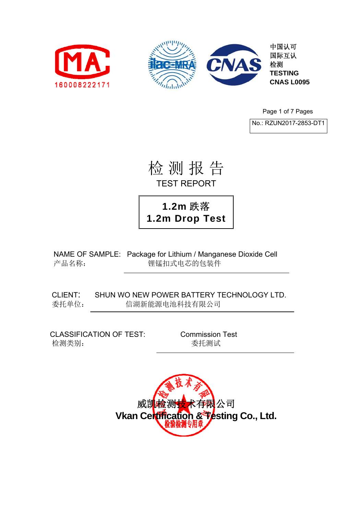



中国认可 国际互认 检测 **TESTING CNAS L0095** 

Page 1 of 7 Pages

No.: RZUN2017-2853-DT1

检 测 报 告 TEST REPORT

**1.2m** 跌落 **1.2m Drop Test**

NAME OF SAMPLE: Package for Lithium / Manganese Dioxide Cell 产品名称: 锂锰扣式电芯的包装件

CLIENT: SHUN WO NEW POWER BATTERY TECHNOLOGY LTD. 委托单位: 信湖新能源电池科技有限公司

CLASSIFICATION OF TEST: Commission Test 检测类别: **检测类别: 2008年 1000 年 1000 香**托测试

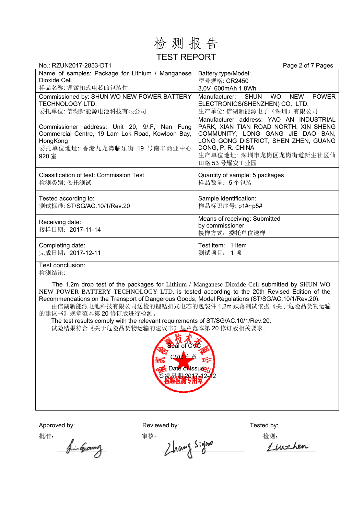## 检 测 报 告 TEST REPORT

| No.: RZUN2017-2853-DT1                                                                                                                               | Page 2 of 7 Pages                                                                                                                                                                                                             |
|------------------------------------------------------------------------------------------------------------------------------------------------------|-------------------------------------------------------------------------------------------------------------------------------------------------------------------------------------------------------------------------------|
| Name of samples: Package for Lithium / Manganese<br>Dioxide Cell<br>样品名称: 锂锰扣式电芯的包装件                                                                 | Battery type/Model:<br>型号规格: CR2450<br>3,0V 600mAh 1,8Wh                                                                                                                                                                      |
| Commissioned by: SHUN WO NEW POWER BATTERY<br><b>TECHNOLOGY LTD.</b><br>委托单位: 信湖新能源电池科技有限公司                                                          | <b>POWER</b><br>Manufacturer: SHUN<br><b>WO</b><br><b>NEW</b><br>ELECTRONICS(SHENZHEN) CO., LTD.<br>生产单位: 信湖新能源电子(深圳) 有限公司                                                                                                    |
| Commissioner address: Unit 20, 9/.F, Nan Fung<br>Commercial Centre, 19 Lam Lok Road, Kowloon Bay,<br>HongKong<br>委托单位地址: 香港九龙湾临乐街 19 号南丰商业中心<br>920室 | Manufacturer address: YAO AN INDUSTRIAL<br>PARK, XIAN TIAN ROAD NORTH, XIN SHENG<br>COMMUNITY, LONG GANG JIE DAO BAN,<br>LONG GONG DISTRICT, SHEN ZHEN, GUANG<br>DONG, P. R. CHINA<br>生产单位地址: 深圳市龙岗区龙岗街道新生社区仙<br>田路 53 号耀安工业园 |
| Classification of test: Commission Test<br>检测类别: 委托测试                                                                                                | Quantity of sample: 5 packages<br>样品数量: 5个包装                                                                                                                                                                                  |
| Tested according to:<br>测试标准: ST/SG/AC.10/1/Rev.20                                                                                                   | Sample identification:<br>样品标识序号: p1#~p5#                                                                                                                                                                                     |
| Receiving date:<br>接样日期: 2017-11-14                                                                                                                  | Means of receiving: Submitted<br>by commissioner<br>接样方式: 委托单位送样                                                                                                                                                              |
| Completing date:<br>完成日期: 2017-12-11                                                                                                                 | Test item: 1 item<br>测试项目: 1项                                                                                                                                                                                                 |
| すいしょう いっけいいち                                                                                                                                         |                                                                                                                                                                                                                               |

Test conclusion: 检测结论:

The 1.2m drop test of the packages for Lithium / Manganese Dioxide Cell submitted by SHUN WO NEW POWER BATTERY TECHNOLOGY LTD. is tested according to the 20th Revised Edition of the Recommendations on the Transport of Dangerous Goods, Model Regulations (ST/SG/AC.10/1/Rev.20).

由信湖新能源电池科技有限公司送检的锂锰扣式电芯的包装件 1,2m 跌落测试依据《关于危险品货物运输 的建议书》规章范本第 20 修订版进行检测。

The test results comply with the relevant requirements of ST/SG/AC.10/1/Rev.20. 试验结果符合《关于危险品货物运输的建议书》规章范本第 20 修订版相关要求。



Approved by: Reviewed by: Reviewed by: Tested by:

批准: 审核: 检测: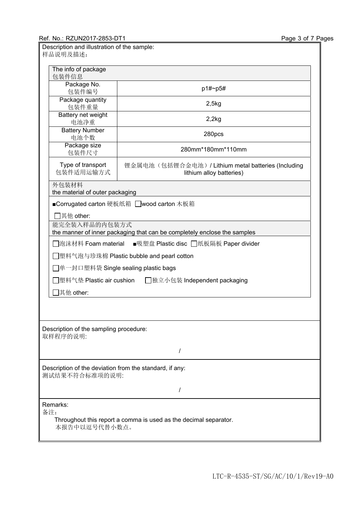| Description and illustration of the sample:<br>样品说明及描述:                                   |                                                                               |  |  |  |
|-------------------------------------------------------------------------------------------|-------------------------------------------------------------------------------|--|--|--|
| The info of package<br>包装件信息                                                              |                                                                               |  |  |  |
| Package No.<br>包装件编号                                                                      | p1#~p5#                                                                       |  |  |  |
| Package quantity<br>包装件重量                                                                 | 2,5kg                                                                         |  |  |  |
| Battery net weight<br>电池净重                                                                | 2,2kg                                                                         |  |  |  |
| <b>Battery Number</b><br>电池个数                                                             | 280pcs                                                                        |  |  |  |
| Package size<br>包装件尺寸                                                                     | 280mm*180mm*110mm                                                             |  |  |  |
| Type of transport<br>包装件适用运输方式                                                            | 锂金属电池(包括锂合金电池)/Lithium metal batteries (Including<br>lithium alloy batteries) |  |  |  |
| 外包装材料<br>the material of outer packaging                                                  |                                                                               |  |  |  |
| ■Corrugated carton 硬板纸箱 □wood carton 木板箱                                                  |                                                                               |  |  |  |
| 7其他 other:                                                                                |                                                                               |  |  |  |
| 能完全装入样品的内包装方式<br>the manner of inner packaging that can be completely enclose the samples |                                                                               |  |  |  |
| □泡沫材料 Foam material<br>■吸塑盘 Plastic disc □纸板隔板 Paper divider                              |                                                                               |  |  |  |
|                                                                                           | 塑料气泡与珍珠棉 Plastic bubble and pearl cotton                                      |  |  |  |
|                                                                                           | │单一封口塑料袋 Single sealing plastic bags                                          |  |  |  |
| 塑料气垫 Plastic air cushion<br>□独立小包装 Independent packaging                                  |                                                                               |  |  |  |
| 其他 other:                                                                                 |                                                                               |  |  |  |
|                                                                                           |                                                                               |  |  |  |
| Description of the sampling procedure:<br>取样程序的说明:                                        |                                                                               |  |  |  |
| $\prime$                                                                                  |                                                                               |  |  |  |
| Description of the deviation from the standard, if any:<br>测试结果不符合标准项的说明:                 |                                                                               |  |  |  |
| I                                                                                         |                                                                               |  |  |  |
| Remarks:                                                                                  |                                                                               |  |  |  |
| 备注:<br>Throughout this report a comma is used as the decimal separator.<br>本报告中以逗号代替小数点。  |                                                                               |  |  |  |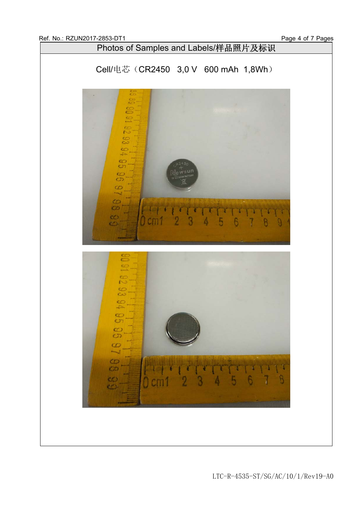

LTC-R-4535-ST/SG/AC/10/1/Rev19-A0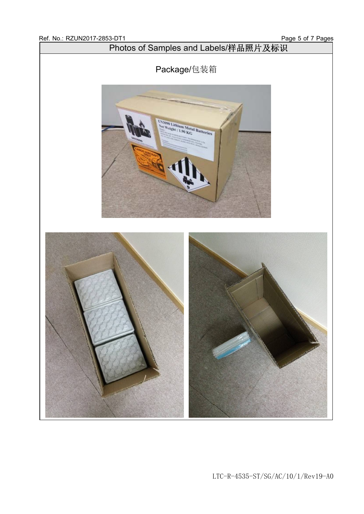

LTC-R-4535-ST/SG/AC/10/1/Rev19-A0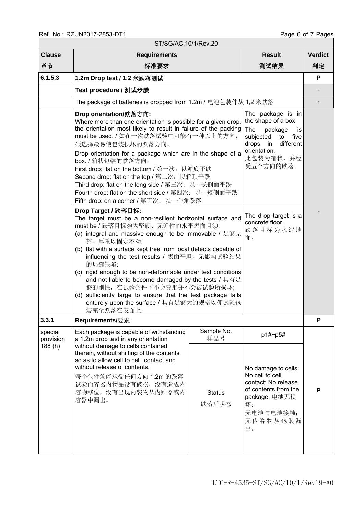| ST/SG/AC.10/1/Rev.20           |                                                                                                                                                                                                                                                                                                                                                                                                                                                                                                                                                                                                                                                                                                                                                                                                                                                                                                                                                                                                                                                                                                                                                                                                                                                                                                                                                                                    |                        |                                                                                                                                             |                |  |  |  |
|--------------------------------|------------------------------------------------------------------------------------------------------------------------------------------------------------------------------------------------------------------------------------------------------------------------------------------------------------------------------------------------------------------------------------------------------------------------------------------------------------------------------------------------------------------------------------------------------------------------------------------------------------------------------------------------------------------------------------------------------------------------------------------------------------------------------------------------------------------------------------------------------------------------------------------------------------------------------------------------------------------------------------------------------------------------------------------------------------------------------------------------------------------------------------------------------------------------------------------------------------------------------------------------------------------------------------------------------------------------------------------------------------------------------------|------------------------|---------------------------------------------------------------------------------------------------------------------------------------------|----------------|--|--|--|
| <b>Clause</b>                  | <b>Requirements</b>                                                                                                                                                                                                                                                                                                                                                                                                                                                                                                                                                                                                                                                                                                                                                                                                                                                                                                                                                                                                                                                                                                                                                                                                                                                                                                                                                                |                        | <b>Result</b>                                                                                                                               | <b>Verdict</b> |  |  |  |
| 章节                             | 标准要求                                                                                                                                                                                                                                                                                                                                                                                                                                                                                                                                                                                                                                                                                                                                                                                                                                                                                                                                                                                                                                                                                                                                                                                                                                                                                                                                                                               |                        | 测试结果                                                                                                                                        | 判定             |  |  |  |
| 6.1.5.3                        | 1.2m Drop test / 1,2 米跌落测试                                                                                                                                                                                                                                                                                                                                                                                                                                                                                                                                                                                                                                                                                                                                                                                                                                                                                                                                                                                                                                                                                                                                                                                                                                                                                                                                                         |                        |                                                                                                                                             |                |  |  |  |
|                                | Test procedure / 测试步骤                                                                                                                                                                                                                                                                                                                                                                                                                                                                                                                                                                                                                                                                                                                                                                                                                                                                                                                                                                                                                                                                                                                                                                                                                                                                                                                                                              |                        |                                                                                                                                             |                |  |  |  |
|                                | The package of batteries is dropped from 1.2m / 电池包装件从 1,2 米跌落                                                                                                                                                                                                                                                                                                                                                                                                                                                                                                                                                                                                                                                                                                                                                                                                                                                                                                                                                                                                                                                                                                                                                                                                                                                                                                                     |                        |                                                                                                                                             |                |  |  |  |
|                                | The package is in<br>Drop orientation/跌落方向:<br>the shape of a box.<br>Where more than one orientation is possible for a given drop,<br>the orientation most likely to result in failure of the packing<br>The<br>package<br>is<br>must be used. / 如在一次跌落试验中可能有一种以上的方向,<br>subjected<br>five<br>to<br>different<br>drops in<br>须选择最易使包装损坏的跌落方向。<br>orientation.<br>Drop orientation for a package which are in the shape of a<br>此包装为箱状,并经<br>box. / 箱状包装的跌落方向:<br>受五个方向的跌落。<br>First drop: flat on the bottom / 第一次: 以箱底平跌<br>Second drop: flat on the top / 第二次: 以箱顶平跌<br>Third drop: flat on the long side / 第三次: 以一长侧面平跌<br>Fourth drop: flat on the short side / 第四次: 以一短侧面平跌<br>Fifth drop: on a corner / 第五次: 以一个角跌落<br>Drop Target / 跌落目标:<br>The drop target is a<br>The target must be a non-resilient horizontal surface and<br>concrete floor.<br>must be / 跌落目标须为坚硬、无弹性的水平表面且须:<br>跌落目标为水泥地<br>(a) integral and massive enough to be immovable / 足够完<br>面。<br>整、厚重以固定不动;<br>(b) flat with a surface kept free from local defects capable of<br>influencing the test results / 表面平坦, 无影响试验结果<br>的局部缺陷;<br>(c) rigid enough to be non-deformable under test conditions<br>and not liable to become damaged by the tests / 具有足<br>够的刚性, 在试验条件下不会变形并不会被试验所损坏;<br>(d) sufficiently large to ensure that the test package falls<br>enturely upon the surface / 具有足够大的规格以便试验包 |                        |                                                                                                                                             |                |  |  |  |
| 3.3.1                          | <b>Requirements/要求</b>                                                                                                                                                                                                                                                                                                                                                                                                                                                                                                                                                                                                                                                                                                                                                                                                                                                                                                                                                                                                                                                                                                                                                                                                                                                                                                                                                             |                        |                                                                                                                                             | P              |  |  |  |
| special<br>provision<br>188(h) | Each package is capable of withstanding<br>a 1.2m drop test in any orientation<br>without damage to cells contained<br>therein, without shifting of the contents<br>so as to allow cell to cell contact and<br>without release of contents.<br>每个包件须能承受任何方向 1,2m 的跌落<br>试验而容器内物品没有破损, 没有造成内<br>容物移位, 没有出现内装物从内贮器或内<br>容器中漏出。                                                                                                                                                                                                                                                                                                                                                                                                                                                                                                                                                                                                                                                                                                                                                                                                                                                                                                                                                                                                                                                       | Sample No.<br>样品号      | p1#~p5#                                                                                                                                     | P              |  |  |  |
|                                |                                                                                                                                                                                                                                                                                                                                                                                                                                                                                                                                                                                                                                                                                                                                                                                                                                                                                                                                                                                                                                                                                                                                                                                                                                                                                                                                                                                    | <b>Status</b><br>跌落后状态 | No damage to cells;<br>No cell to cell<br>contact; No release<br>of contents from the<br>package. 电池无损<br>坏;<br>无电池与电池接触;<br>无内容物从包装漏<br>出。 |                |  |  |  |